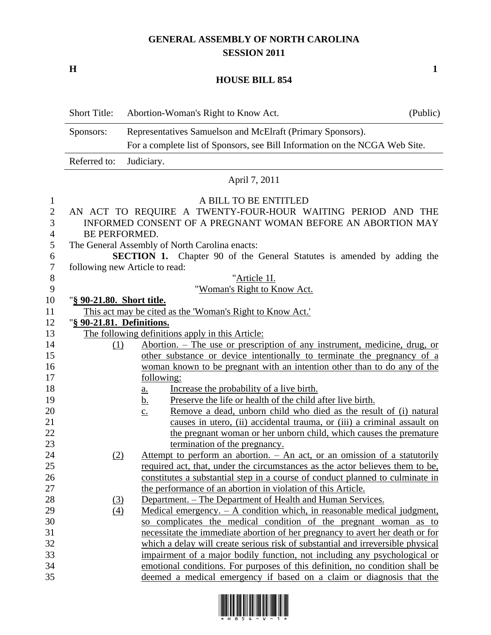## **GENERAL ASSEMBLY OF NORTH CAROLINA SESSION 2011**

**H 1**

## **HOUSE BILL 854**

|                          | <b>Short Title:</b>       | Abortion-Woman's Right to Know Act.                                                                                                                  | (Public) |
|--------------------------|---------------------------|------------------------------------------------------------------------------------------------------------------------------------------------------|----------|
|                          | Sponsors:                 | Representatives Samuelson and McElraft (Primary Sponsors).                                                                                           |          |
|                          |                           | For a complete list of Sponsors, see Bill Information on the NCGA Web Site.                                                                          |          |
|                          | Referred to:              | Judiciary.                                                                                                                                           |          |
|                          |                           | April 7, 2011                                                                                                                                        |          |
| $\mathbf{1}$             |                           | A BILL TO BE ENTITLED                                                                                                                                |          |
| $\overline{2}$<br>3<br>4 |                           | AN ACT TO REQUIRE A TWENTY-FOUR-HOUR WAITING PERIOD AND THE<br>INFORMED CONSENT OF A PREGNANT WOMAN BEFORE AN ABORTION MAY<br><b>BE PERFORMED.</b>   |          |
| 5                        |                           | The General Assembly of North Carolina enacts:                                                                                                       |          |
| 6                        |                           | SECTION 1. Chapter 90 of the General Statutes is amended by adding the                                                                               |          |
| 7                        |                           | following new Article to read:                                                                                                                       |          |
| $8\phantom{1}$           |                           | "Article 1I.                                                                                                                                         |          |
| 9                        |                           | "Woman's Right to Know Act.                                                                                                                          |          |
| 10                       | "§ 90-21.80. Short title. |                                                                                                                                                      |          |
| 11                       |                           | This act may be cited as the 'Woman's Right to Know Act.'                                                                                            |          |
| 12                       | "§ 90-21.81. Definitions. |                                                                                                                                                      |          |
| 13                       |                           | The following definitions apply in this Article:                                                                                                     |          |
| 14                       | (1)                       | <u>Abortion. – The use or prescription of any instrument, medicine, drug, or</u>                                                                     |          |
| 15<br>16                 |                           | other substance or device intentionally to terminate the pregnancy of a<br>woman known to be pregnant with an intention other than to do any of the  |          |
| 17                       |                           | following:                                                                                                                                           |          |
| 18                       |                           | Increase the probability of a live birth.<br><u>a.</u>                                                                                               |          |
| 19                       |                           | Preserve the life or health of the child after live birth.<br><u>b.</u>                                                                              |          |
| 20                       |                           | Remove a dead, unborn child who died as the result of (i) natural<br>$\underline{c}$ .                                                               |          |
| 21                       |                           | causes in utero, (ii) accidental trauma, or (iii) a criminal assault on                                                                              |          |
| 22                       |                           | the pregnant woman or her unborn child, which causes the premature                                                                                   |          |
| 23                       |                           | termination of the pregnancy.                                                                                                                        |          |
| 24                       | (2)                       | Attempt to perform an abortion. – An act, or an omission of a statutorily                                                                            |          |
| 25                       |                           | required act, that, under the circumstances as the actor believes them to be,                                                                        |          |
| 26                       |                           | constitutes a substantial step in a course of conduct planned to culminate in                                                                        |          |
| 27                       |                           | the performance of an abortion in violation of this Article.                                                                                         |          |
| 28                       | <u>(3)</u>                | Department. – The Department of Health and Human Services.                                                                                           |          |
| 29                       | (4)                       | Medical emergency. $- A$ condition which, in reasonable medical judgment,                                                                            |          |
| 30                       |                           | so complicates the medical condition of the pregnant woman as to                                                                                     |          |
| 31                       |                           | necessitate the immediate abortion of her pregnancy to avert her death or for                                                                        |          |
| 32                       |                           | which a delay will create serious risk of substantial and irreversible physical                                                                      |          |
| 33<br>34                 |                           | impairment of a major bodily function, not including any psychological or                                                                            |          |
| 35                       |                           | emotional conditions. For purposes of this definition, no condition shall be<br>deemed a medical emergency if based on a claim or diagnosis that the |          |
|                          |                           |                                                                                                                                                      |          |

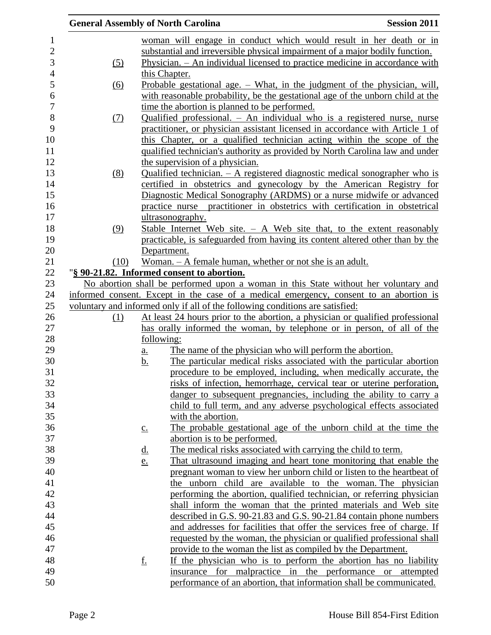|      | <b>General Assembly of North Carolina</b>                                     | <b>Session 2011</b>                                                                    |
|------|-------------------------------------------------------------------------------|----------------------------------------------------------------------------------------|
|      |                                                                               | woman will engage in conduct which would result in her death or in                     |
|      |                                                                               | substantial and irreversible physical impairment of a major bodily function.           |
| (5)  |                                                                               | Physician. – An individual licensed to practice medicine in accordance with            |
|      | this Chapter.                                                                 |                                                                                        |
| (6)  |                                                                               | <u>Probable gestational age. – What, in the judgment of the physician, will,</u>       |
|      |                                                                               | with reasonable probability, be the gestational age of the unborn child at the         |
|      | time the abortion is planned to be performed.                                 |                                                                                        |
| (7)  |                                                                               | Qualified professional. - An individual who is a registered nurse, nurse               |
|      |                                                                               | practitioner, or physician assistant licensed in accordance with Article 1 of          |
|      |                                                                               | this Chapter, or a qualified technician acting within the scope of the                 |
|      |                                                                               | qualified technician's authority as provided by North Carolina law and under           |
|      | the supervision of a physician.                                               |                                                                                        |
| (8)  |                                                                               | Qualified technician. $-$ A registered diagnostic medical sonographer who is           |
|      |                                                                               | certified in obstetrics and gynecology by the American Registry for                    |
|      |                                                                               | Diagnostic Medical Sonography (ARDMS) or a nurse midwife or advanced                   |
|      |                                                                               | practice nurse practitioner in obstetrics with certification in obstetrical            |
|      | ultrasonography.                                                              |                                                                                        |
| (9)  |                                                                               | Stable Internet Web site. $-$ A Web site that, to the extent reasonably                |
|      |                                                                               | practicable, is safeguarded from having its content altered other than by the          |
|      | Department.                                                                   |                                                                                        |
| (10) | Woman. – A female human, whether or not she is an adult.                      |                                                                                        |
|      | "§ 90-21.82. Informed consent to abortion.                                    |                                                                                        |
|      |                                                                               | No abortion shall be performed upon a woman in this State without her voluntary and    |
|      |                                                                               | informed consent. Except in the case of a medical emergency, consent to an abortion is |
|      | voluntary and informed only if all of the following conditions are satisfied: |                                                                                        |
| (1)  |                                                                               | At least 24 hours prior to the abortion, a physician or qualified professional         |
|      | following:                                                                    | has orally informed the woman, by telephone or in person, of all of the                |
|      |                                                                               | The name of the physician who will perform the abortion.                               |
|      | a.<br><u>b.</u>                                                               | The particular medical risks associated with the particular abortion                   |
|      |                                                                               | procedure to be employed, including, when medically accurate, the                      |
|      |                                                                               | risks of infection, hemorrhage, cervical tear or uterine perforation,                  |
|      |                                                                               | danger to subsequent pregnancies, including the ability to carry a                     |
|      |                                                                               | child to full term, and any adverse psychological effects associated                   |
|      | with the abortion.                                                            |                                                                                        |
|      | $\underline{c}$ .                                                             | The probable gestational age of the unborn child at the time the                       |
|      | abortion is to be performed.                                                  |                                                                                        |
|      | <u>d.</u>                                                                     | The medical risks associated with carrying the child to term.                          |
|      | e.                                                                            | That ultrasound imaging and heart tone monitoring that enable the                      |
|      |                                                                               | pregnant woman to view her unborn child or listen to the heartbeat of                  |
|      |                                                                               | the unborn child are available to the woman. The physician                             |
|      |                                                                               | performing the abortion, qualified technician, or referring physician                  |
|      |                                                                               | shall inform the woman that the printed materials and Web site                         |
|      |                                                                               | described in G.S. 90-21.83 and G.S. 90-21.84 contain phone numbers                     |
|      |                                                                               | and addresses for facilities that offer the services free of charge. If                |
|      |                                                                               | requested by the woman, the physician or qualified professional shall                  |
|      |                                                                               | provide to the woman the list as compiled by the Department.                           |
|      | <u>f.</u>                                                                     | If the physician who is to perform the abortion has no liability                       |
|      |                                                                               | insurance for malpractice in the performance or attempted                              |
|      |                                                                               | performance of an abortion, that information shall be communicated.                    |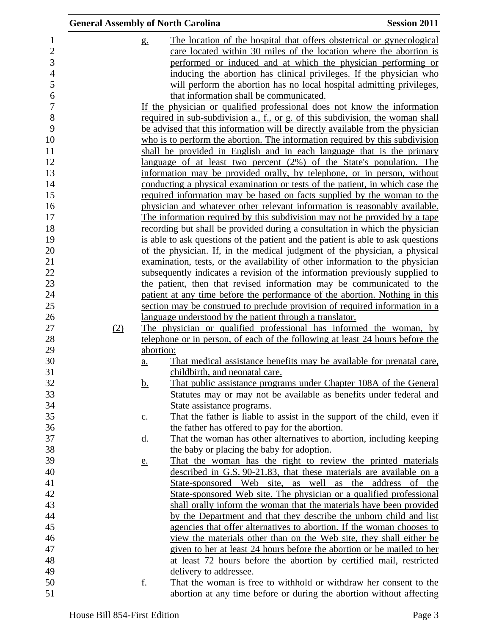|                | <b>General Assembly of North Carolina</b> |                            |                                                                                         | <b>Session 2011</b> |
|----------------|-------------------------------------------|----------------------------|-----------------------------------------------------------------------------------------|---------------------|
| $\mathbf{1}$   |                                           | g <sub>1</sub>             | The location of the hospital that offers obstetrical or gynecological                   |                     |
| $\overline{2}$ |                                           |                            | care located within 30 miles of the location where the abortion is                      |                     |
| 3              |                                           |                            | performed or induced and at which the physician performing or                           |                     |
| $\overline{4}$ |                                           |                            | inducing the abortion has clinical privileges. If the physician who                     |                     |
| 5              |                                           |                            | will perform the abortion has no local hospital admitting privileges,                   |                     |
| 6              |                                           |                            | that information shall be communicated.                                                 |                     |
| $\overline{7}$ |                                           |                            | If the physician or qualified professional does not know the information                |                     |
| 8              |                                           |                            | required in sub-subdivision a., f., or g. of this subdivision, the woman shall          |                     |
| 9              |                                           |                            | be advised that this information will be directly available from the physician          |                     |
| 10             |                                           |                            | who is to perform the abortion. The information required by this subdivision            |                     |
| 11             |                                           |                            | shall be provided in English and in each language that is the primary                   |                     |
| 12             |                                           |                            | language of at least two percent (2%) of the State's population. The                    |                     |
| 13             |                                           |                            | information may be provided orally, by telephone, or in person, without                 |                     |
| 14             |                                           |                            | conducting a physical examination or tests of the patient, in which case the            |                     |
| 15             |                                           |                            | required information may be based on facts supplied by the woman to the                 |                     |
| 16             |                                           |                            | physician and whatever other relevant information is reasonably available.              |                     |
| 17             |                                           |                            | The information required by this subdivision may not be provided by a tape              |                     |
| 18             |                                           |                            | recording but shall be provided during a consultation in which the physician            |                     |
| 19             |                                           |                            | is able to <u>ask questions of the patient and the patient is able to ask questions</u> |                     |
| 20             |                                           |                            | of the physician. If, in the medical judgment of the physician, a physical              |                     |
| 21             |                                           |                            | examination, tests, or the availability of other information to the physician           |                     |
| 22             |                                           |                            | subsequently indicates a revision of the information previously supplied to             |                     |
| 23             |                                           |                            | the patient, then that revised information may be communicated to the                   |                     |
| 24             |                                           |                            | patient at any time before the performance of the abortion. Nothing in this             |                     |
| 25             |                                           |                            | section may be construed to preclude provision of required information in a             |                     |
| 26             |                                           |                            | language understood by the patient through a translator.                                |                     |
| 27             | (2)                                       |                            | The physician or qualified professional has informed the woman, by                      |                     |
| 28             |                                           |                            | telephone or in person, of each of the following at least 24 hours before the           |                     |
| 29             |                                           | abortion:                  |                                                                                         |                     |
| 30             |                                           | $\underline{a}$ .          | That medical assistance benefits may be available for prenatal care,                    |                     |
| 31             |                                           |                            | childbirth, and neonatal care.                                                          |                     |
| 32             |                                           | $\underline{\mathbf{b}}$ . | That public assistance programs under Chapter 108A of the General                       |                     |
| 33             |                                           |                            | Statutes may or may not be available as benefits under federal and                      |                     |
| 34             |                                           |                            | State assistance programs.                                                              |                     |
| 35             |                                           | $\underline{c}$ .          | That the father is liable to assist in the support of the child, even if                |                     |
| 36             |                                           |                            | the father has offered to pay for the abortion.                                         |                     |
| 37             |                                           | <u>d.</u>                  | That the woman has other alternatives to abortion, including keeping                    |                     |
| 38             |                                           |                            | the baby or placing the baby for adoption.                                              |                     |
| 39             |                                           | <u>e.</u>                  | That the woman has the right to review the printed materials                            |                     |
| 40             |                                           |                            | described in G.S. 90-21.83, that these materials are available on a                     |                     |
| 41             |                                           |                            | State-sponsored Web site, as well as the address of the                                 |                     |
| 42             |                                           |                            | State-sponsored Web site. The physician or a qualified professional                     |                     |
| 43             |                                           |                            | shall orally inform the woman that the materials have been provided                     |                     |
| 44             |                                           |                            | by the Department and that they describe the unborn child and list                      |                     |
| 45             |                                           |                            | agencies that offer alternatives to abortion. If the woman chooses to                   |                     |
| 46             |                                           |                            | view the materials other than on the Web site, they shall either be                     |                     |
| 47             |                                           |                            | given to her at least 24 hours before the abortion or be mailed to her                  |                     |
| 48             |                                           |                            | at least 72 hours before the abortion by certified mail, restricted                     |                     |
| 49             |                                           |                            | delivery to addressee.                                                                  |                     |
| 50             |                                           | <u>f.</u>                  | That the woman is free to withhold or withdraw her consent to the                       |                     |
| 51             |                                           |                            | abortion at any time before or during the abortion without affecting                    |                     |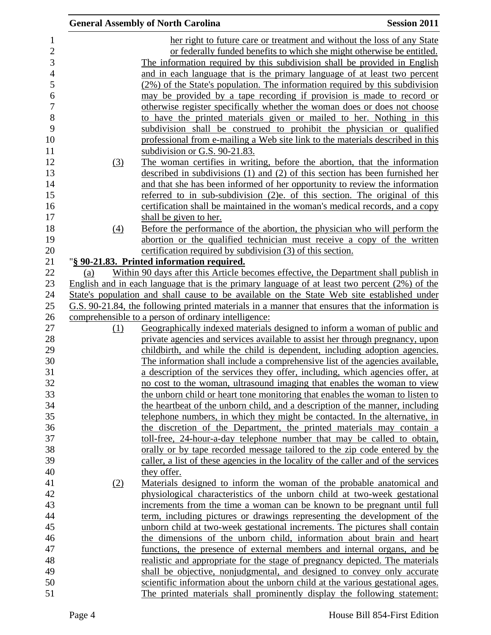|     | <b>General Assembly of North Carolina</b>                                                                                                                | <b>Session 2011</b> |
|-----|----------------------------------------------------------------------------------------------------------------------------------------------------------|---------------------|
|     | her right to future care or treatment and without the loss of any State                                                                                  |                     |
|     | or federally funded benefits to which she might otherwise be entitled.                                                                                   |                     |
|     | The information required by this subdivision shall be provided in English                                                                                |                     |
|     | and in each language that is the primary language of at least two percent                                                                                |                     |
|     | (2%) of the State's population. The information required by this subdivision                                                                             |                     |
|     | may be provided by a tape recording if provision is made to record or                                                                                    |                     |
|     | otherwise register specifically whether the woman does or does not choose                                                                                |                     |
|     | to have the printed materials given or mailed to her. Nothing in this                                                                                    |                     |
|     | subdivision shall be construed to prohibit the physician or qualified                                                                                    |                     |
|     | professional from e-mailing a Web site link to the materials described in this                                                                           |                     |
|     | subdivision or G.S. 90-21.83.                                                                                                                            |                     |
| (3) | The woman certifies in writing, before the abortion, that the information                                                                                |                     |
|     | described in subdivisions (1) and (2) of this section has been furnished her                                                                             |                     |
|     | and that she has been informed of her opportunity to review the information                                                                              |                     |
|     | referred to in sub-subdivision (2)e. of this section. The original of this                                                                               |                     |
|     | certification shall be maintained in the woman's medical records, and a copy                                                                             |                     |
|     | shall be given to her.                                                                                                                                   |                     |
| (4) | Before the performance of the abortion, the physician who will perform the                                                                               |                     |
|     | abortion or the qualified technician must receive a copy of the written                                                                                  |                     |
|     | certification required by subdivision (3) of this section.                                                                                               |                     |
|     | "§ 90-21.83. Printed information required.                                                                                                               |                     |
| (a) | Within 90 days after this Article becomes effective, the Department shall publish in                                                                     |                     |
|     | English and in each language that is the primary language of at least two percent $(2\%)$ of the                                                         |                     |
|     | State's population and shall cause to be available on the State Web site established under                                                               |                     |
|     | G.S. 90-21.84, the following printed materials in a manner that ensures that the information is                                                          |                     |
|     | comprehensible to a person of ordinary intelligence:                                                                                                     |                     |
| (1) | Geographically indexed materials designed to inform a woman of public and                                                                                |                     |
|     | private agencies and services available to assist her through pregnancy, upon                                                                            |                     |
|     | childbirth, and while the child is dependent, including adoption agencies.                                                                               |                     |
|     | The information shall include a comprehensive list of the agencies available,                                                                            |                     |
|     | a description of the services they offer, including, which agencies offer, at<br>no cost to the woman, ultrasound imaging that enables the woman to view |                     |
|     | the unborn child or heart tone monitoring that enables the woman to listen to                                                                            |                     |
|     | the heartbeat of the unborn child, and a description of the manner, including                                                                            |                     |
|     | telephone numbers, in which they might be contacted. In the alternative, in                                                                              |                     |
|     | the discretion of the Department, the printed materials may contain a                                                                                    |                     |
|     | toll-free, 24-hour-a-day telephone number that may be called to obtain,                                                                                  |                     |
|     | orally or by tape recorded message tailored to the zip code entered by the                                                                               |                     |
|     | caller, a list of these agencies in the locality of the caller and of the services                                                                       |                     |
|     | they offer.                                                                                                                                              |                     |
| (2) | Materials designed to inform the woman of the probable anatomical and                                                                                    |                     |
|     | physiological characteristics of the unborn child at two-week gestational                                                                                |                     |
|     | increments from the time a woman can be known to be pregnant until full                                                                                  |                     |
|     | term, including pictures or drawings representing the development of the                                                                                 |                     |
|     | unborn child at two-week gestational increments. The pictures shall contain                                                                              |                     |
|     | the dimensions of the unborn child, information about brain and heart                                                                                    |                     |
|     | functions, the presence of external members and internal organs, and be                                                                                  |                     |
|     | realistic and appropriate for the stage of pregnancy depicted. The materials                                                                             |                     |
|     | shall be objective, nonjudgmental, and designed to convey only accurate                                                                                  |                     |
|     | scientific information about the unborn child at the various gestational ages.                                                                           |                     |
|     | The printed materials shall prominently display the following statement:                                                                                 |                     |
|     |                                                                                                                                                          |                     |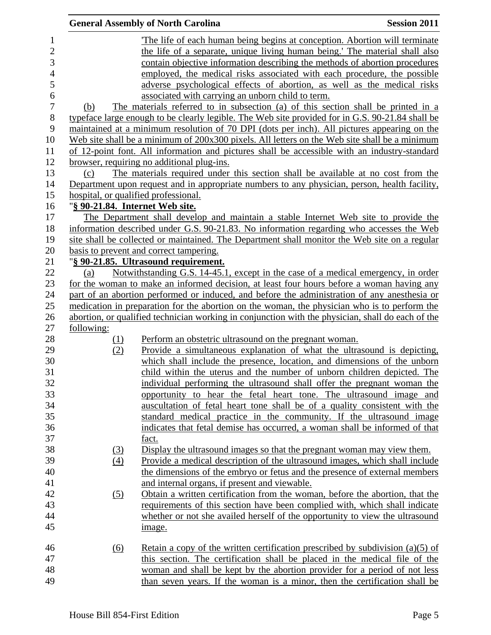|                     |                                 | <b>General Assembly of North Carolina</b>                                                         | <b>Session 2011</b> |
|---------------------|---------------------------------|---------------------------------------------------------------------------------------------------|---------------------|
| $\mathbf{1}$        |                                 | The life of each human being begins at conception. Abortion will terminate                        |                     |
| $\overline{2}$      |                                 | the life of a separate, unique living human being.' The material shall also                       |                     |
| 3                   |                                 | contain objective information describing the methods of abortion procedures                       |                     |
| $\overline{4}$      |                                 | employed, the medical risks associated with each procedure, the possible                          |                     |
| 5                   |                                 |                                                                                                   |                     |
|                     |                                 | adverse psychological effects of abortion, as well as the medical risks                           |                     |
| 6<br>$\overline{7}$ |                                 | associated with carrying an unborn child to term.                                                 |                     |
|                     | (b)                             | The materials referred to in subsection (a) of this section shall be printed in a                 |                     |
| $8\,$               |                                 | typeface large enough to be clearly legible. The Web site provided for in G.S. 90-21.84 shall be  |                     |
| 9                   |                                 | maintained at a minimum resolution of 70 DPI (dots per inch). All pictures appearing on the       |                     |
| 10                  |                                 | Web site shall be a minimum of 200x300 pixels. All letters on the Web site shall be a minimum     |                     |
| 11                  |                                 | of 12-point font. All information and pictures shall be accessible with an industry-standard      |                     |
| 12                  |                                 | browser, requiring no additional plug-ins.                                                        |                     |
| 13                  | (c)                             | The materials required under this section shall be available at no cost from the                  |                     |
| 14                  |                                 | Department upon request and in appropriate numbers to any physician, person, health facility,     |                     |
| 15                  |                                 | hospital, or qualified professional.                                                              |                     |
| 16                  | "§ 90-21.84. Internet Web site. |                                                                                                   |                     |
| 17                  |                                 | The Department shall develop and maintain a stable Internet Web site to provide the               |                     |
| 18                  |                                 | information described under G.S. 90-21.83. No information regarding who accesses the Web          |                     |
| 19                  |                                 | site shall be collected or maintained. The Department shall monitor the Web site on a regular     |                     |
| 20                  |                                 | basis to prevent and correct tampering.                                                           |                     |
| 21                  |                                 | "§ 90-21.85. Ultrasound requirement.                                                              |                     |
| 22                  | (a)                             | Notwithstanding G.S. 14-45.1, except in the case of a medical emergency, in order                 |                     |
| 23                  |                                 | for the woman to make an informed decision, at least four hours before a woman having any         |                     |
| 24                  |                                 | part of an abortion performed or induced, and before the administration of any anesthesia or      |                     |
| 25                  |                                 | medication in preparation for the abortion on the woman, the physician who is to perform the      |                     |
| 26                  |                                 | abortion, or qualified technician working in conjunction with the physician, shall do each of the |                     |
| 27                  | following:                      |                                                                                                   |                     |
| 28                  | (1)                             | Perform an obstetric ultrasound on the pregnant woman.                                            |                     |
| 29                  | (2)                             | Provide a simultaneous explanation of what the ultrasound is depicting,                           |                     |
| 30                  |                                 | which shall include the presence, location, and dimensions of the unborn                          |                     |
| 31                  |                                 | child within the uterus and the number of unborn children depicted. The                           |                     |
| 32                  |                                 | individual performing the ultrasound shall offer the pregnant woman the                           |                     |
| 33                  |                                 | opportunity to hear the fetal heart tone. The ultrasound image and                                |                     |
| 34                  |                                 | auscultation of fetal heart tone shall be of a quality consistent with the                        |                     |
| 35                  |                                 | standard medical practice in the community. If the ultrasound image                               |                     |
| 36                  |                                 | indicates that fetal demise has occurred, a woman shall be informed of that                       |                     |
| 37                  |                                 | fact.                                                                                             |                     |
| 38                  | (3)                             | Display the ultrasound images so that the pregnant woman may view them.                           |                     |
| 39                  | (4)                             | Provide a medical description of the ultrasound images, which shall include                       |                     |
| 40                  |                                 | the dimensions of the embryo or fetus and the presence of external members                        |                     |
| 41                  |                                 | and internal organs, if present and viewable.                                                     |                     |
| 42                  | (5)                             | Obtain a written certification from the woman, before the abortion, that the                      |                     |
| 43                  |                                 | requirements of this section have been complied with, which shall indicate                        |                     |
| 44                  |                                 | whether or not she availed herself of the opportunity to view the ultrasound                      |                     |
| 45                  |                                 | <u>image.</u>                                                                                     |                     |
|                     |                                 |                                                                                                   |                     |
| 46                  | (6)                             | Retain a copy of the written certification prescribed by subdivision $(a)(5)$ of                  |                     |
| 47                  |                                 | this section. The certification shall be placed in the medical file of the                        |                     |
| 48                  |                                 | woman and shall be kept by the abortion provider for a period of not less                         |                     |
| 49                  |                                 | than seven years. If the woman is a minor, then the certification shall be                        |                     |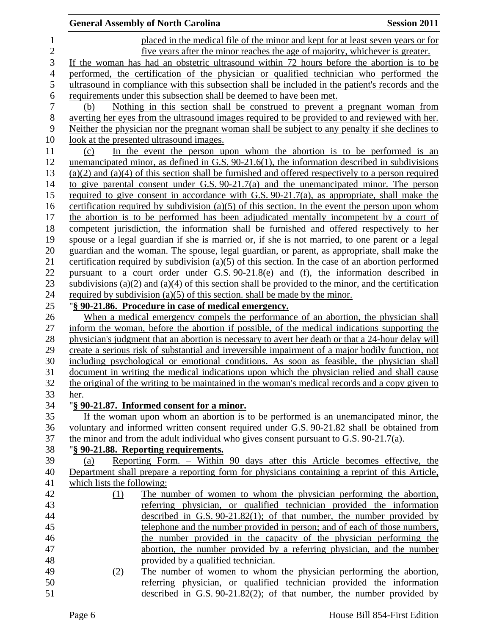|                | <b>General Assembly of North Carolina</b>                                                              | <b>Session 2011</b> |
|----------------|--------------------------------------------------------------------------------------------------------|---------------------|
| 1              | placed in the medical file of the minor and kept for at least seven years or for                       |                     |
| $\overline{c}$ | five years after the minor reaches the age of majority, whichever is greater.                          |                     |
| 3              | If the woman has had an obstetric ultrasound within 72 hours before the abortion is to be              |                     |
| $\overline{4}$ | performed, the certification of the physician or qualified technician who performed the                |                     |
| 5              | ultrasound in compliance with this subsection shall be included in the patient's records and the       |                     |
| 6              | requirements under this subsection shall be deemed to have been met.                                   |                     |
| $\overline{7}$ | Nothing in this section shall be construed to prevent a pregnant woman from<br>(b)                     |                     |
| 8              | averting her eyes from the ultrasound images required to be provided to and reviewed with her.         |                     |
| 9              | Neither the physician nor the pregnant woman shall be subject to any penalty if she declines to        |                     |
| 10             | look at the presented ultrasound images.                                                               |                     |
| 11             | In the event the person upon whom the abortion is to be performed is an<br>(c)                         |                     |
| 12             | unemancipated minor, as defined in G.S. $90-21.6(1)$ , the information described in subdivisions       |                     |
| 13             | $(a)(2)$ and $(a)(4)$ of this section shall be furnished and offered respectively to a person required |                     |
| 14             | to give parental consent under G.S. $90-21.7(a)$ and the unemancipated minor. The person               |                     |
| 15             | required to give consent in accordance with G.S. $90-21.7(a)$ , as appropriate, shall make the         |                     |
| 16             | certification required by subdivision (a)(5) of this section. In the event the person upon whom        |                     |
| 17             | the abortion is to be performed has been adjudicated mentally incompetent by a court of                |                     |
| 18             | competent jurisdiction, the information shall be furnished and offered respectively to her             |                     |
| 19             | spouse or a legal guardian if she is married or, if she is not married, to one parent or a legal       |                     |
| 20             | guardian and the woman. The spouse, legal guardian, or parent, as appropriate, shall make the          |                     |
| 21             | certification required by subdivision (a)(5) of this section. In the case of an abortion performed     |                     |
| 22             | pursuant to a court order under G.S. 90-21.8(e) and (f), the information described in                  |                     |
| 23             | subdivisions (a)(2) and (a)(4) of this section shall be provided to the minor, and the certification   |                     |
| 24             | required by subdivision (a)(5) of this section, shall be made by the minor.                            |                     |
| 25             | "§ 90-21.86. Procedure in case of medical emergency.                                                   |                     |
| 26             | When a medical emergency compels the performance of an abortion, the physician shall                   |                     |
| 27             | inform the woman, before the abortion if possible, of the medical indications supporting the           |                     |
| 28             | physician's judgment that an abortion is necessary to avert her death or that a 24-hour delay will     |                     |
| 29             | create a serious risk of substantial and irreversible impairment of a major bodily function, not       |                     |
| 30             | including psychological or emotional conditions. As soon as feasible, the physician shall              |                     |
| 31             | document in writing the medical indications upon which the physician relied and shall cause            |                     |
| 32             | the original of the writing to be maintained in the woman's medical records and a copy given to        |                     |
| 33             | her.                                                                                                   |                     |
| 34             | "§ 90-21.87. Informed consent for a minor.                                                             |                     |
| 35             | If the woman upon whom an abortion is to be performed is an unemancipated minor, the                   |                     |
| 36             | voluntary and informed written consent required under G.S. 90-21.82 shall be obtained from             |                     |
| 37             | the minor and from the adult individual who gives consent pursuant to G.S. $90-21.7(a)$ .              |                     |
| 38             | "§ 90-21.88. Reporting requirements.                                                                   |                     |
| 39             | Reporting Form. – Within 90 days after this Article becomes effective, the<br>(a)                      |                     |
| 40             | Department shall prepare a reporting form for physicians containing a reprint of this Article,         |                     |
| 41             | which lists the following:                                                                             |                     |
| 42             | The number of women to whom the physician performing the abortion,<br>(1)                              |                     |
| 43             | referring physician, or qualified technician provided the information                                  |                     |
| 44             | described in $G.S. 90-21.82(1)$ ; of that number, the number provided by                               |                     |
| 45             | telephone and the number provided in person; and of each of those numbers,                             |                     |
| 46             | the number provided in the capacity of the physician performing the                                    |                     |
| 47             | abortion, the number provided by a referring physician, and the number                                 |                     |
| 48             | provided by a qualified technician.                                                                    |                     |
| 49             | The number of women to whom the physician performing the abortion,<br>(2)                              |                     |
| 50             | referring physician, or qualified technician provided the information                                  |                     |
| 51             | described in G.S. $90-21.82(2)$ ; of that number, the number provided by                               |                     |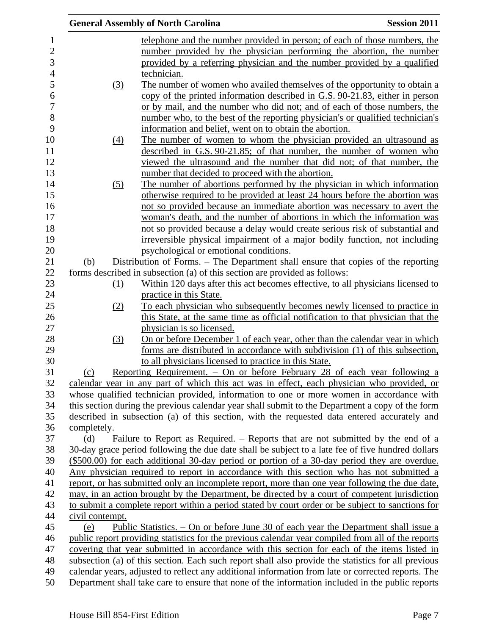|                 |     | <b>General Assembly of North Carolina</b>                                                           | <b>Session 2011</b> |
|-----------------|-----|-----------------------------------------------------------------------------------------------------|---------------------|
|                 |     | telephone and the number provided in person; of each of those numbers, the                          |                     |
|                 |     | number provided by the physician performing the abortion, the number                                |                     |
|                 |     | provided by a referring physician and the number provided by a qualified                            |                     |
|                 |     | technician.                                                                                         |                     |
|                 | (3) | The number of women who availed themselves of the opportunity to obtain a                           |                     |
|                 |     | copy of the printed information described in G.S. 90-21.83, either in person                        |                     |
|                 |     | or by mail, and the number who did not; and of each of those numbers, the                           |                     |
|                 |     | number who, to the best of the reporting physician's or qualified technician's                      |                     |
|                 |     | information and belief, went on to obtain the abortion.                                             |                     |
|                 | (4) | The number of women to whom the physician provided an ultrasound as                                 |                     |
|                 |     | described in G.S. 90-21.85; of that number, the number of women who                                 |                     |
|                 |     | viewed the ultrasound and the number that did not; of that number, the                              |                     |
|                 |     | number that decided to proceed with the abortion.                                                   |                     |
|                 | (5) | The number of abortions performed by the physician in which information                             |                     |
|                 |     | otherwise required to be provided at least 24 hours before the abortion was                         |                     |
|                 |     | not so provided because an immediate abortion was necessary to avert the                            |                     |
|                 |     | woman's death, and the number of abortions in which the information was                             |                     |
|                 |     | not so provided because a delay would create serious risk of substantial and                        |                     |
|                 |     | irreversible physical impairment of a major bodily function, not including                          |                     |
|                 |     | psychological or emotional conditions.                                                              |                     |
| (b)             |     | Distribution of Forms. – The Department shall ensure that copies of the reporting                   |                     |
|                 |     | forms described in subsection (a) of this section are provided as follows:                          |                     |
|                 | (1) | Within 120 days after this act becomes effective, to all physicians licensed to                     |                     |
|                 |     | practice in this State.                                                                             |                     |
|                 | (2) | To each physician who subsequently becomes newly licensed to practice in                            |                     |
|                 |     | this State, at the same time as official notification to that physician that the                    |                     |
|                 |     | physician is so licensed.                                                                           |                     |
|                 | (3) | On or before December 1 of each year, other than the calendar year in which                         |                     |
|                 |     | forms are distributed in accordance with subdivision (1) of this subsection,                        |                     |
|                 |     | to all physicians licensed to practice in this State.                                               |                     |
| (c)             |     | Reporting Requirement. - On or before February 28 of each year following a                          |                     |
|                 |     | calendar year in any part of which this act was in effect, each physician who provided, or          |                     |
|                 |     | whose qualified technician provided, information to one or more women in accordance with            |                     |
|                 |     | this section during the previous calendar year shall submit to the Department a copy of the form    |                     |
|                 |     | described in subsection (a) of this section, with the requested data entered accurately and         |                     |
| completely.     |     |                                                                                                     |                     |
| (d)             |     | Failure to Report as Required. – Reports that are not submitted by the end of a                     |                     |
|                 |     | 30-day grace period following the due date shall be subject to a late fee of five hundred dollars   |                     |
|                 |     | (\$500.00) for each additional 30-day period or portion of a 30-day period they are overdue.        |                     |
|                 |     | Any physician required to report in accordance with this section who has not submitted a            |                     |
|                 |     | report, or has submitted only an incomplete report, more than one year following the due date,      |                     |
|                 |     | may, in an action brought by the Department, be directed by a court of competent jurisdiction       |                     |
|                 |     | to submit a complete report within a period stated by court order or be subject to sanctions for    |                     |
| civil contempt. |     |                                                                                                     |                     |
| (e)             |     | Public Statistics. – On or before June 30 of each year the Department shall issue a                 |                     |
|                 |     | public report providing statistics for the previous calendar year compiled from all of the reports  |                     |
|                 |     | covering that year submitted in accordance with this section for each of the items listed in        |                     |
|                 |     | subsection (a) of this section. Each such report shall also provide the statistics for all previous |                     |
|                 |     | calendar years, adjusted to reflect any additional information from late or corrected reports. The  |                     |
|                 |     | Department shall take care to ensure that none of the information included in the public reports    |                     |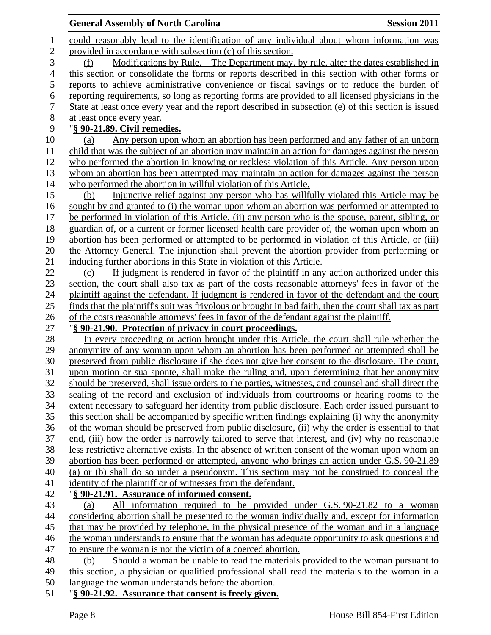|                | <b>General Assembly of North Carolina</b>                                                                                                                                                                                                                                                                                          | <b>Session 2011</b> |
|----------------|------------------------------------------------------------------------------------------------------------------------------------------------------------------------------------------------------------------------------------------------------------------------------------------------------------------------------------|---------------------|
| $\mathbf 1$    | could reasonably lead to the identification of any individual about whom information was                                                                                                                                                                                                                                           |                     |
| $\overline{2}$ | provided in accordance with subsection (c) of this section.                                                                                                                                                                                                                                                                        |                     |
| 3              | Modifications by Rule. – The Department may, by rule, alter the dates established in<br>(f)                                                                                                                                                                                                                                        |                     |
| $\overline{4}$ | this section or consolidate the forms or reports described in this section with other forms or                                                                                                                                                                                                                                     |                     |
| 5              | reports to achieve administrative convenience or fiscal savings or to reduce the burden of                                                                                                                                                                                                                                         |                     |
| 6              | reporting requirements, so long as reporting forms are provided to all licensed physicians in the                                                                                                                                                                                                                                  |                     |
| 7              | State at least once every year and the report described in subsection (e) of this section is issued                                                                                                                                                                                                                                |                     |
| 8              | at least once every year.                                                                                                                                                                                                                                                                                                          |                     |
| 9              | "§ 90-21.89. Civil remedies.                                                                                                                                                                                                                                                                                                       |                     |
| 10             | Any person upon whom an abortion has been performed and any father of an unborn<br>(a)                                                                                                                                                                                                                                             |                     |
| 11             | child that was the subject of an abortion may maintain an action for damages against the person                                                                                                                                                                                                                                    |                     |
| 12             | who performed the abortion in knowing or reckless violation of this Article. Any person upon                                                                                                                                                                                                                                       |                     |
| 13             | whom an abortion has been attempted may maintain an action for damages against the person                                                                                                                                                                                                                                          |                     |
| 14             | who performed the abortion in willful violation of this Article.                                                                                                                                                                                                                                                                   |                     |
| 15             | Injunctive relief against any person who has willfully violated this Article may be<br>(b)                                                                                                                                                                                                                                         |                     |
| 16             | sought by and granted to (i) the woman upon whom an abortion was performed or attempted to                                                                                                                                                                                                                                         |                     |
| 17             | be performed in violation of this Article, (ii) any person who is the spouse, parent, sibling, or                                                                                                                                                                                                                                  |                     |
| 18             | guardian of, or a current or former licensed health care provider of, the woman upon whom an                                                                                                                                                                                                                                       |                     |
| 19             | abortion has been performed or attempted to be performed in violation of this Article, or (iii)                                                                                                                                                                                                                                    |                     |
| 20<br>21       | the Attorney General. The injunction shall prevent the abortion provider from performing or                                                                                                                                                                                                                                        |                     |
| 22             | inducing further abortions in this State in violation of this Article.<br>If judgment is rendered in favor of the plaintiff in any action authorized under this<br>(c)                                                                                                                                                             |                     |
| 23             | section, the court shall also tax as part of the costs reasonable attorneys' fees in favor of the                                                                                                                                                                                                                                  |                     |
| 24             | plaintiff against the defendant. If judgment is rendered in favor of the defendant and the court                                                                                                                                                                                                                                   |                     |
| 25             | finds that the plaintiff's suit was frivolous or brought in bad faith, then the court shall tax as part                                                                                                                                                                                                                            |                     |
| 26             | of the costs reasonable attorneys' fees in favor of the defendant against the plaintiff.                                                                                                                                                                                                                                           |                     |
| 27             | "§ 90-21.90. Protection of privacy in court proceedings.                                                                                                                                                                                                                                                                           |                     |
| 28             | In every proceeding or action brought under this Article, the court shall rule whether the                                                                                                                                                                                                                                         |                     |
| 29             | anonymity of any woman upon whom an abortion has been performed or attempted shall be                                                                                                                                                                                                                                              |                     |
| 30             | preserved from public disclosure if she does not give her consent to the disclosure. The court,                                                                                                                                                                                                                                    |                     |
| 31             | upon motion or sua sponte, shall make the ruling and, upon determining that her anonymity                                                                                                                                                                                                                                          |                     |
| 32             | should be preserved, shall issue orders to the parties, witnesses, and counsel and shall direct the                                                                                                                                                                                                                                |                     |
| 33             | sealing of the record and exclusion of individuals from courtrooms or hearing rooms to the                                                                                                                                                                                                                                         |                     |
| 34             | extent necessary to safeguard her identity from public disclosure. Each order issued pursuant to                                                                                                                                                                                                                                   |                     |
| 35             | this section shall be accompanied by specific written findings explaining (i) why the anonymity                                                                                                                                                                                                                                    |                     |
| 36             | of the woman should be preserved from public disclosure, (ii) why the order is essential to that                                                                                                                                                                                                                                   |                     |
| 37             | end, (iii) how the order is narrowly tailored to serve that interest, and (iv) why no reasonable                                                                                                                                                                                                                                   |                     |
| 38             | less restrictive alternative exists. In the absence of written consent of the woman upon whom an                                                                                                                                                                                                                                   |                     |
| 39             | abortion has been performed or attempted, anyone who brings an action under G.S. 90-21.89                                                                                                                                                                                                                                          |                     |
| 40             | (a) or (b) shall do so under a pseudonym. This section may not be construed to conceal the                                                                                                                                                                                                                                         |                     |
| 41<br>42       | identity of the plaintiff or of witnesses from the defendant.<br>"§ 90-21.91. Assurance of informed consent.                                                                                                                                                                                                                       |                     |
| 43             | All information required to be provided under G.S. 90-21.82 to a woman<br>(a)                                                                                                                                                                                                                                                      |                     |
| 44             | considering abortion shall be presented to the woman individually and, except for information                                                                                                                                                                                                                                      |                     |
| 45             | that may be provided by telephone, in the physical presence of the woman and in a language                                                                                                                                                                                                                                         |                     |
| 46             | the woman understands to ensure that the woman has adequate opportunity to ask questions and                                                                                                                                                                                                                                       |                     |
| 47             | to ensure the woman is not the victim of a coerced abortion.                                                                                                                                                                                                                                                                       |                     |
| 48             | Should a woman be unable to read the materials provided to the woman pursuant to<br>(b)                                                                                                                                                                                                                                            |                     |
| 49             | this section, a physician or qualified professional shall read the materials to the woman in a                                                                                                                                                                                                                                     |                     |
| 50             | language the woman understands before the abortion.                                                                                                                                                                                                                                                                                |                     |
| $\mathbf{r}$ 1 | $\mathbf{R}$ $\mathbf{R}$ $\mathbf{R}$ $\mathbf{R}$ $\mathbf{R}$ $\mathbf{R}$ $\mathbf{R}$ $\mathbf{R}$ $\mathbf{R}$ $\mathbf{R}$ $\mathbf{R}$ $\mathbf{R}$ $\mathbf{R}$ $\mathbf{R}$ $\mathbf{R}$ $\mathbf{R}$ $\mathbf{R}$ $\mathbf{R}$ $\mathbf{R}$ $\mathbf{R}$ $\mathbf{R}$ $\mathbf{R}$ $\mathbf{R}$ $\mathbf{R}$ $\mathbf{$ |                     |